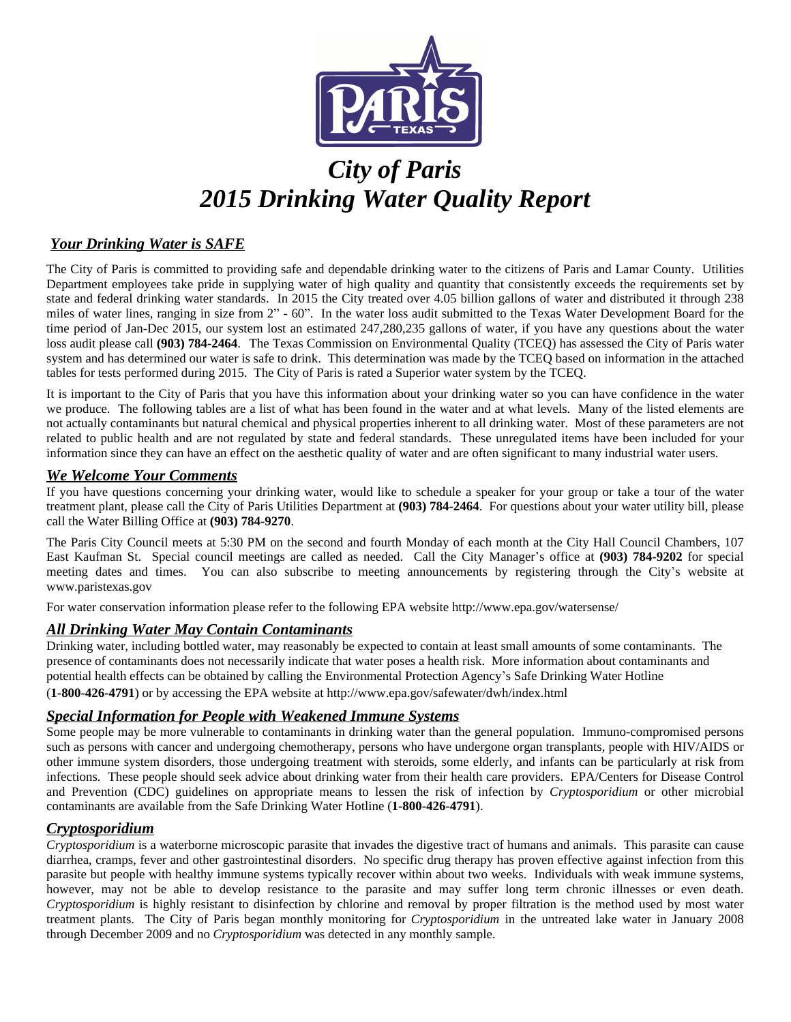

# *City of Paris 2015 Drinking Water Quality Report*

## *Your Drinking Water is SAFE*

The City of Paris is committed to providing safe and dependable drinking water to the citizens of Paris and Lamar County. Utilities Department employees take pride in supplying water of high quality and quantity that consistently exceeds the requirements set by state and federal drinking water standards. In 2015 the City treated over 4.05 billion gallons of water and distributed it through 238 miles of water lines, ranging in size from 2" - 60". In the water loss audit submitted to the Texas Water Development Board for the time period of Jan-Dec 2015, our system lost an estimated 247,280,235 gallons of water, if you have any questions about the water loss audit please call **(903) 784-2464**. The Texas Commission on Environmental Quality (TCEQ) has assessed the City of Paris water system and has determined our water is safe to drink. This determination was made by the TCEQ based on information in the attached tables for tests performed during 2015. The City of Paris is rated a Superior water system by the TCEQ.

It is important to the City of Paris that you have this information about your drinking water so you can have confidence in the water we produce. The following tables are a list of what has been found in the water and at what levels. Many of the listed elements are not actually contaminants but natural chemical and physical properties inherent to all drinking water. Most of these parameters are not related to public health and are not regulated by state and federal standards. These unregulated items have been included for your information since they can have an effect on the aesthetic quality of water and are often significant to many industrial water users.

#### *We Welcome Your Comments*

If you have questions concerning your drinking water, would like to schedule a speaker for your group or take a tour of the water treatment plant, please call the City of Paris Utilities Department at **(903) 784-2464**. For questions about your water utility bill, please call the Water Billing Office at **(903) 784-9270**.

The Paris City Council meets at 5:30 PM on the second and fourth Monday of each month at the City Hall Council Chambers, 107 East Kaufman St. Special council meetings are called as needed. Call the City Manager's office at **(903) 784-9202** for special meeting dates and times. You can also subscribe to meeting announcements by registering through the City's website at www.paristexas.gov

For water conservation information please refer to the following EPA website http://www.epa.gov/watersense/

## *All Drinking Water May Contain Contaminants*

Drinking water, including bottled water, may reasonably be expected to contain at least small amounts of some contaminants. The presence of contaminants does not necessarily indicate that water poses a health risk. More information about contaminants and potential health effects can be obtained by calling the Environmental Protection Agency's Safe Drinking Water Hotline (**1-800-426-4791**) or by accessing the EPA website at http://www.epa.gov/safewater/dwh/index.html

#### *Special Information for People with Weakened Immune Systems*

Some people may be more vulnerable to contaminants in drinking water than the general population. Immuno-compromised persons such as persons with cancer and undergoing chemotherapy, persons who have undergone organ transplants, people with HIV/AIDS or other immune system disorders, those undergoing treatment with steroids, some elderly, and infants can be particularly at risk from infections. These people should seek advice about drinking water from their health care providers. EPA/Centers for Disease Control and Prevention (CDC) guidelines on appropriate means to lessen the risk of infection by *Cryptosporidium* or other microbial contaminants are available from the Safe Drinking Water Hotline (**1-800-426-4791**).

#### *Cryptosporidium*

*Cryptosporidium* is a waterborne microscopic parasite that invades the digestive tract of humans and animals. This parasite can cause diarrhea, cramps, fever and other gastrointestinal disorders. No specific drug therapy has proven effective against infection from this parasite but people with healthy immune systems typically recover within about two weeks. Individuals with weak immune systems, however, may not be able to develop resistance to the parasite and may suffer long term chronic illnesses or even death. *Cryptosporidium* is highly resistant to disinfection by chlorine and removal by proper filtration is the method used by most water treatment plants. The City of Paris began monthly monitoring for *Cryptosporidium* in the untreated lake water in January 2008 through December 2009 and no *Cryptosporidium* was detected in any monthly sample.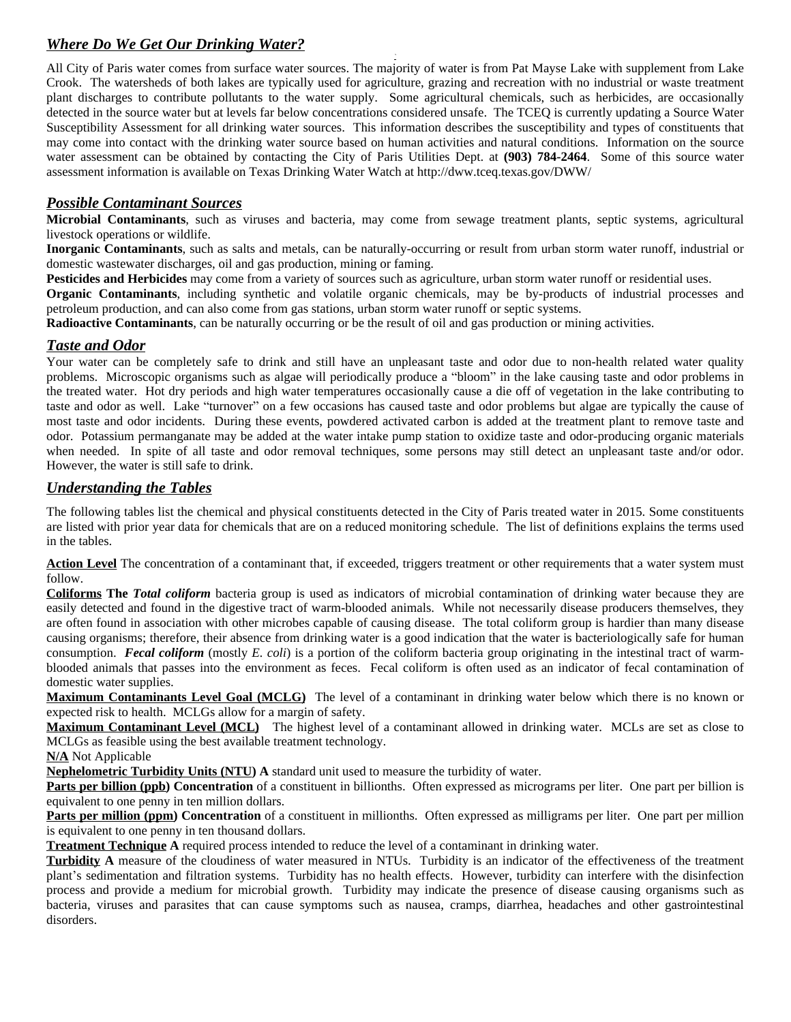# *Where Do We Get Our Drinking Water?*

*`* All City of Paris water comes from surface water sources. The majority of water is from Pat Mayse Lake with supplement from Lake Crook. The watersheds of both lakes are typically used for agriculture, grazing and recreation with no industrial or waste treatment plant discharges to contribute pollutants to the water supply. Some agricultural chemicals, such as herbicides, are occasionally detected in the source water but at levels far below concentrations considered unsafe. The TCEQ is currently updating a Source Water Susceptibility Assessment for all drinking water sources. This information describes the susceptibility and types of constituents that may come into contact with the drinking water source based on human activities and natural conditions. Information on the source water assessment can be obtained by contacting the City of Paris Utilities Dept. at **(903) 784-2464**. Some of this source water assessment information is available on Texas Drinking Water Watch at http://dww.tceq.texas.gov/DWW/

## *Possible Contaminant Sources*

**Microbial Contaminants**, such as viruses and bacteria, may come from sewage treatment plants, septic systems, agricultural livestock operations or wildlife.

**Inorganic Contaminants**, such as salts and metals, can be naturally-occurring or result from urban storm water runoff, industrial or domestic wastewater discharges, oil and gas production, mining or faming.

**Pesticides and Herbicides** may come from a variety of sources such as agriculture, urban storm water runoff or residential uses.

**Organic Contaminants**, including synthetic and volatile organic chemicals, may be by-products of industrial processes and petroleum production, and can also come from gas stations, urban storm water runoff or septic systems.

**Radioactive Contaminants**, can be naturally occurring or be the result of oil and gas production or mining activities.

## *Taste and Odor*

Your water can be completely safe to drink and still have an unpleasant taste and odor due to non-health related water quality problems. Microscopic organisms such as algae will periodically produce a "bloom" in the lake causing taste and odor problems in the treated water. Hot dry periods and high water temperatures occasionally cause a die off of vegetation in the lake contributing to taste and odor as well. Lake "turnover" on a few occasions has caused taste and odor problems but algae are typically the cause of most taste and odor incidents. During these events, powdered activated carbon is added at the treatment plant to remove taste and odor. Potassium permanganate may be added at the water intake pump station to oxidize taste and odor-producing organic materials when needed. In spite of all taste and odor removal techniques, some persons may still detect an unpleasant taste and/or odor. However, the water is still safe to drink.

## *Understanding the Tables*

The following tables list the chemical and physical constituents detected in the City of Paris treated water in 2015. Some constituents are listed with prior year data for chemicals that are on a reduced monitoring schedule. The list of definitions explains the terms used in the tables.

Action Level The concentration of a contaminant that, if exceeded, triggers treatment or other requirements that a water system must follow.

**Coliforms The** *Total coliform* bacteria group is used as indicators of microbial contamination of drinking water because they are easily detected and found in the digestive tract of warm-blooded animals. While not necessarily disease producers themselves, they are often found in association with other microbes capable of causing disease. The total coliform group is hardier than many disease causing organisms; therefore, their absence from drinking water is a good indication that the water is bacteriologically safe for human consumption. *Fecal coliform* (mostly *E. coli*) is a portion of the coliform bacteria group originating in the intestinal tract of warmblooded animals that passes into the environment as feces. Fecal coliform is often used as an indicator of fecal contamination of domestic water supplies.

**Maximum Contaminants Level Goal (MCLG)** The level of a contaminant in drinking water below which there is no known or expected risk to health. MCLGs allow for a margin of safety.

**Maximum Contaminant Level (MCL)** The highest level of a contaminant allowed in drinking water. MCLs are set as close to MCLGs as feasible using the best available treatment technology.

**N/A** Not Applicable

**Nephelometric Turbidity Units (NTU) A** standard unit used to measure the turbidity of water.

**Parts per billion (ppb)** Concentration of a constituent in billionths. Often expressed as micrograms per liter. One part per billion is equivalent to one penny in ten million dollars.

**Parts per million (ppm) Concentration** of a constituent in millionths. Often expressed as milligrams per liter. One part per million is equivalent to one penny in ten thousand dollars.

**Treatment Technique A** required process intended to reduce the level of a contaminant in drinking water.

**Turbidity A** measure of the cloudiness of water measured in NTUs. Turbidity is an indicator of the effectiveness of the treatment plant's sedimentation and filtration systems. Turbidity has no health effects. However, turbidity can interfere with the disinfection process and provide a medium for microbial growth. Turbidity may indicate the presence of disease causing organisms such as bacteria, viruses and parasites that can cause symptoms such as nausea, cramps, diarrhea, headaches and other gastrointestinal disorders.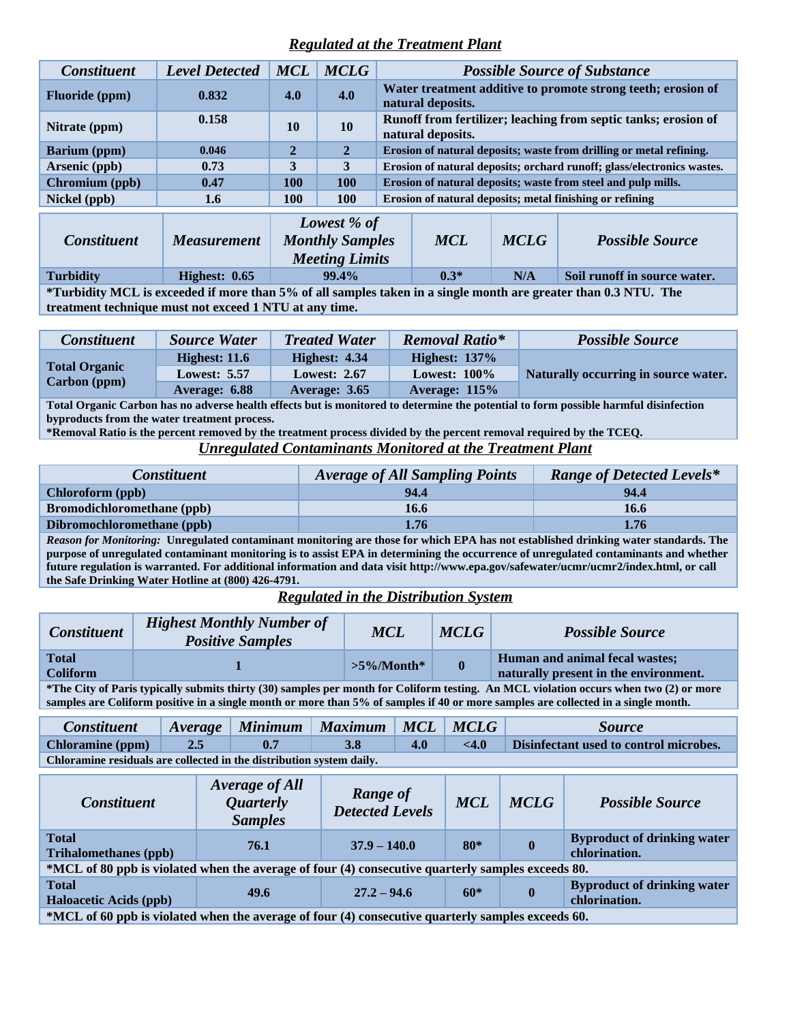# *Regulated at the Treatment Plant*

| <b>Constituent</b>                                                                                             | <b>Level Detected</b> | <b>MCL</b>                                                     | <b>MCLG</b>                                                                 |                                                                                     |                                                                                   |                              | <b>Possible Source of Substance</b> |
|----------------------------------------------------------------------------------------------------------------|-----------------------|----------------------------------------------------------------|-----------------------------------------------------------------------------|-------------------------------------------------------------------------------------|-----------------------------------------------------------------------------------|------------------------------|-------------------------------------|
| <b>Fluoride</b> (ppm)                                                                                          | 0.832                 | 4.0                                                            | 4.0                                                                         |                                                                                     | Water treatment additive to promote strong teeth; erosion of<br>natural deposits. |                              |                                     |
| Nitrate (ppm)                                                                                                  | 0.158                 | <b>10</b>                                                      | <b>10</b>                                                                   | Runoff from fertilizer; leaching from septic tanks; erosion of<br>natural deposits. |                                                                                   |                              |                                     |
| <b>Barium</b> (ppm)                                                                                            | 0.046                 | $\overline{2}$                                                 | $\overline{2}$                                                              | Erosion of natural deposits; waste from drilling or metal refining.                 |                                                                                   |                              |                                     |
| Arsenic (ppb)                                                                                                  | 0.73                  | 3                                                              | 3                                                                           | Erosion of natural deposits; orchard runoff; glass/electronics wastes.              |                                                                                   |                              |                                     |
| Chromium (ppb)                                                                                                 | 0.47                  | 100                                                            | <b>100</b><br>Erosion of natural deposits; waste from steel and pulp mills. |                                                                                     |                                                                                   |                              |                                     |
| Nickel (ppb)                                                                                                   | 1.6                   | <b>100</b>                                                     | <b>100</b>                                                                  | Erosion of natural deposits; metal finishing or refining                            |                                                                                   |                              |                                     |
| <b>Constituent</b>                                                                                             | <i>Measurement</i>    | Lowest % of<br><b>Monthly Samples</b><br><b>Meeting Limits</b> |                                                                             | <b>MCL</b>                                                                          | <b>MCLG</b>                                                                       | <b>Possible Source</b>       |                                     |
| <b>Turbidity</b>                                                                                               | Highest: 0.65         | 99.4%                                                          |                                                                             | $0.3*$                                                                              | N/A                                                                               | Soil runoff in source water. |                                     |
| *Turbidity MCL is exceeded if more than 5% of all samples taken in a single month are greater than 0.3 NTH The |                       |                                                                |                                                                             |                                                                                     |                                                                                   |                              |                                     |

taken in a single month a **treatment technique must not exceed 1 NTU at any time.**

| <b>Constituent</b>                   | <b>Source Water</b> | <b>Treated Water</b> | <b>Removal Ratio*</b> | <b>Possible Source</b>               |
|--------------------------------------|---------------------|----------------------|-----------------------|--------------------------------------|
| <b>Total Organic</b><br>Carbon (ppm) | Highest: $11.6$     | Highest: 4.34        | Highest: $137\%$      |                                      |
|                                      | <b>Lowest: 5.57</b> | <b>Lowest: 2.67</b>  | Lowest: $100\%$       | Naturally occurring in source water. |
|                                      | Average: 6.88       | Average: 3.65        | Average: $115%$       |                                      |

**Total Organic Carbon has no adverse health effects but is monitored to determine the potential to form possible harmful disinfection byproducts from the water treatment process.**

**\*Removal Ratio is the percent removed by the treatment process divided by the percent removal required by the TCEQ.**

*Unregulated Contaminants Monitored at the Treatment Plant*

| <i>Constituent</i>                                                                                                                  | <b>Average of All Sampling Points</b> | <b>Range of Detected Levels*</b> |  |  |  |
|-------------------------------------------------------------------------------------------------------------------------------------|---------------------------------------|----------------------------------|--|--|--|
| Chloroform (ppb)                                                                                                                    | 94.4                                  | 94.4                             |  |  |  |
| <b>Bromodichloromethane</b> (ppb)                                                                                                   | 16.6                                  | 16.6                             |  |  |  |
| Dibromochloromethane (ppb)<br>1.76<br>1.76                                                                                          |                                       |                                  |  |  |  |
| Reason for Monitoring: Unregulated contaminant monitoring are those for which FPA has not established drinking water standards. The |                                       |                                  |  |  |  |

*Reason for Monitoring:* **Unregulated contaminant monitoring are those for which EPA has not established drinking water standards. The purpose of unregulated contaminant monitoring is to assist EPA in determining the occurrence of unregulated contaminants and whether future regulation is warranted. For additional information and data visit http://www.epa.gov/safewater/ucmr/ucmr2/index.html, or call the Safe Drinking Water Hotline at (800) 426-4791.**

*Regulated in the Distribution System*

| <b>Constituent</b>                                                                                                                    | <b>Highest Monthly Number of</b><br><b>Positive Samples</b> | <b>MCL</b>     | <b>MCLG</b> | <b>Possible Source</b>                                                  |  |  |
|---------------------------------------------------------------------------------------------------------------------------------------|-------------------------------------------------------------|----------------|-------------|-------------------------------------------------------------------------|--|--|
| <b>Total</b><br><b>Coliform</b>                                                                                                       |                                                             | $>5\%$ /Month* |             | Human and animal fecal wastes;<br>naturally present in the environment. |  |  |
| *The City of Paris typically submits thirty (30) samples per month for Coliform testing. An MCL violation occurs when two (2) or more |                                                             |                |             |                                                                         |  |  |

**samples are Coliform positive in a single month or more than 5% of samples if 40 or more samples are collected in a single month.**

| <b>Constituent</b>                                                   |            |     | Average Minimum Maximum MCL MCLG |     |            | <i>Source</i>                                 |  |
|----------------------------------------------------------------------|------------|-----|----------------------------------|-----|------------|-----------------------------------------------|--|
| <b>Chloramine</b> (ppm)                                              | $\sim$ 2.5 | 0.7 | <b>3.8</b>                       | 4.0 | $\leq 4.0$ | <b>Disinfectant used to control microbes.</b> |  |
| Chloramine residuals are collected in the distribution system daily. |            |     |                                  |     |            |                                               |  |

| <b>Constituent</b>                                                                                                  | Average of All<br><b>Quarterly</b><br><b>Samples</b> | <b>Range of</b><br><b>Detected Levels</b> | <b>MCL</b> | <b>MCLG</b> | <b>Possible Source</b>                              |  |
|---------------------------------------------------------------------------------------------------------------------|------------------------------------------------------|-------------------------------------------|------------|-------------|-----------------------------------------------------|--|
| <b>Total</b><br><b>Trihalomethanes</b> (ppb)                                                                        | 76.1                                                 | $80*$<br>$37.9 - 140.0$                   |            | $\bf{0}$    | <b>Byproduct of drinking water</b><br>chlorination. |  |
| *MCL of 80 ppb is violated when the average of four (4) consecutive quarterly samples exceeds 80.                   |                                                      |                                           |            |             |                                                     |  |
| <b>Total</b><br><b>Haloacetic Acids (ppb)</b>                                                                       | 49.6                                                 | $27.2 - 94.6$                             | $60*$      | $\bf{0}$    | <b>Byproduct of drinking water</b><br>chlorination. |  |
| $\star MCI \sim f \Omega$ and is righted when the groupse of fam (A) consecutive symptom second consumer seconds (0 |                                                      |                                           |            |             |                                                     |  |

**\*MCL of 60 ppb is violated when the average of four (4) consecutive quarterly samples exceeds 60.**